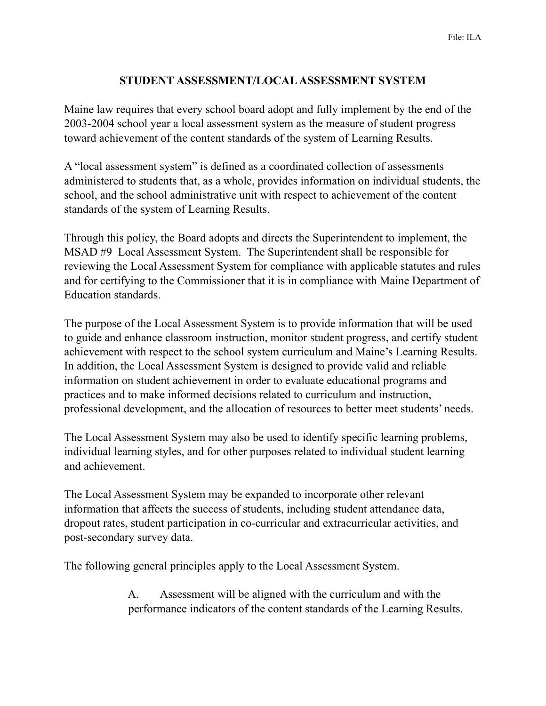## **STUDENT ASSESSMENT/LOCAL ASSESSMENT SYSTEM**

Maine law requires that every school board adopt and fully implement by the end of the 2003-2004 school year a local assessment system as the measure of student progress toward achievement of the content standards of the system of Learning Results.

A "local assessment system" is defined as a coordinated collection of assessments administered to students that, as a whole, provides information on individual students, the school, and the school administrative unit with respect to achievement of the content standards of the system of Learning Results.

Through this policy, the Board adopts and directs the Superintendent to implement, the MSAD #9 Local Assessment System. The Superintendent shall be responsible for reviewing the Local Assessment System for compliance with applicable statutes and rules and for certifying to the Commissioner that it is in compliance with Maine Department of Education standards.

The purpose of the Local Assessment System is to provide information that will be used to guide and enhance classroom instruction, monitor student progress, and certify student achievement with respect to the school system curriculum and Maine's Learning Results. In addition, the Local Assessment System is designed to provide valid and reliable information on student achievement in order to evaluate educational programs and practices and to make informed decisions related to curriculum and instruction, professional development, and the allocation of resources to better meet students' needs.

The Local Assessment System may also be used to identify specific learning problems, individual learning styles, and for other purposes related to individual student learning and achievement.

The Local Assessment System may be expanded to incorporate other relevant information that affects the success of students, including student attendance data, dropout rates, student participation in co-curricular and extracurricular activities, and post-secondary survey data.

The following general principles apply to the Local Assessment System.

 A. Assessment will be aligned with the curriculum and with the performance indicators of the content standards of the Learning Results.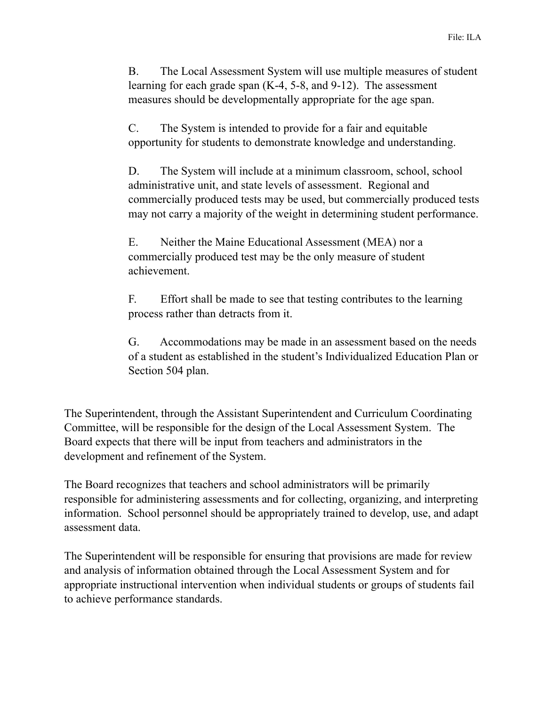B. The Local Assessment System will use multiple measures of student learning for each grade span (K-4, 5-8, and 9-12). The assessment measures should be developmentally appropriate for the age span.

 C. The System is intended to provide for a fair and equitable opportunity for students to demonstrate knowledge and understanding.

 D. The System will include at a minimum classroom, school, school administrative unit, and state levels of assessment. Regional and commercially produced tests may be used, but commercially produced tests may not carry a majority of the weight in determining student performance.

 E. Neither the Maine Educational Assessment (MEA) nor a commercially produced test may be the only measure of student achievement.

 F. Effort shall be made to see that testing contributes to the learning process rather than detracts from it.

 G. Accommodations may be made in an assessment based on the needs of a student as established in the student's Individualized Education Plan or Section 504 plan.

The Superintendent, through the Assistant Superintendent and Curriculum Coordinating Committee, will be responsible for the design of the Local Assessment System. The Board expects that there will be input from teachers and administrators in the development and refinement of the System.

The Board recognizes that teachers and school administrators will be primarily responsible for administering assessments and for collecting, organizing, and interpreting information. School personnel should be appropriately trained to develop, use, and adapt assessment data.

The Superintendent will be responsible for ensuring that provisions are made for review and analysis of information obtained through the Local Assessment System and for appropriate instructional intervention when individual students or groups of students fail to achieve performance standards.